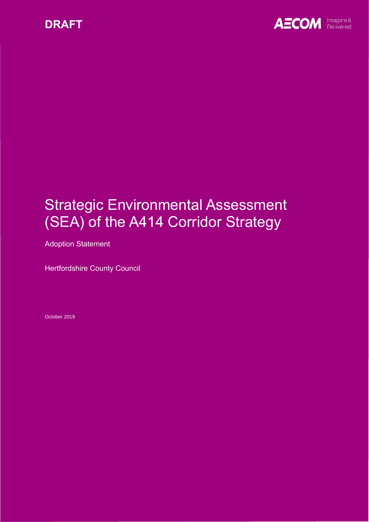



# Strategic Environmental Assessment (SEA) of the A414 Corridor Strategy

Adoption Statement

Hertfordshire County Council

October 2019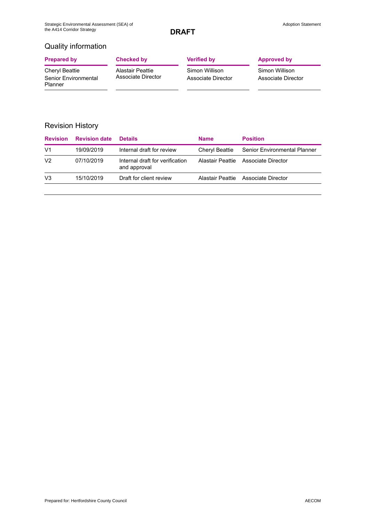## Quality information

| <b>Prepared by</b>                                       | Checked by                                    | <b>Verified by</b>                   | <b>Approved by</b>                   |
|----------------------------------------------------------|-----------------------------------------------|--------------------------------------|--------------------------------------|
| Cheryl Beattie<br>Senior Environmental<br><b>Planner</b> | <b>Alastair Peattie</b><br>Associate Director | Simon Willison<br>Associate Director | Simon Willison<br>Associate Director |

## Revision History

| <b>Revision</b> | <b>Revision date</b> | <b>Details</b>                                  | <b>Name</b> | <b>Position</b>                             |
|-----------------|----------------------|-------------------------------------------------|-------------|---------------------------------------------|
| V1              | 19/09/2019           | Internal draft for review                       |             | Cheryl Beattie Senior Environmental Planner |
| V <sub>2</sub>  | 07/10/2019           | Internal draft for verification<br>and approval |             | Alastair Peattie Associate Director         |
| V <sub>3</sub>  | 15/10/2019           | Draft for client review                         |             | Alastair Peattie Associate Director         |
|                 |                      |                                                 |             |                                             |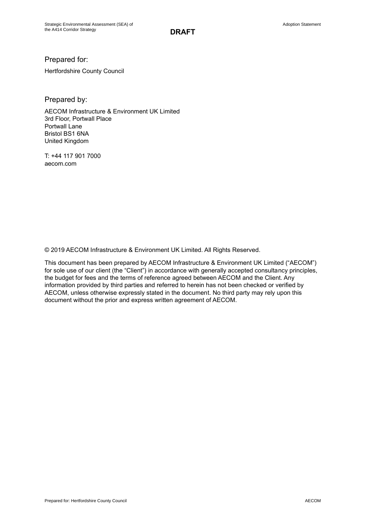Prepared for:

Hertfordshire County Council

Prepared by:

AECOM Infrastructure & Environment UK Limited 3rd Floor, Portwall Place Portwall Lane Bristol BS1 6NA United Kingdom

T: +44 117 901 7000 aecom.com

© 2019 AECOM Infrastructure & Environment UK Limited. All Rights Reserved.

This document has been prepared by AECOM Infrastructure & Environment UK Limited ("AECOM") for sole use of our client (the "Client") in accordance with generally accepted consultancy principles, the budget for fees and the terms of reference agreed between AECOM and the Client. Any information provided by third parties and referred to herein has not been checked or verified by AECOM, unless otherwise expressly stated in the document. No third party may rely upon this document without the prior and express written agreement of AECOM.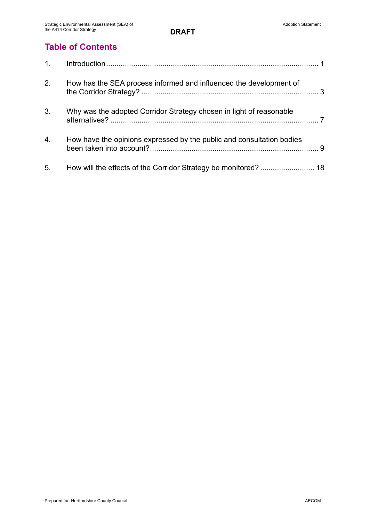## **Table of Contents**

| 2.               | How has the SEA process informed and influenced the development of    |
|------------------|-----------------------------------------------------------------------|
| 3.               | Why was the adopted Corridor Strategy chosen in light of reasonable   |
| $\overline{4}$ . | How have the opinions expressed by the public and consultation bodies |
| 5.               |                                                                       |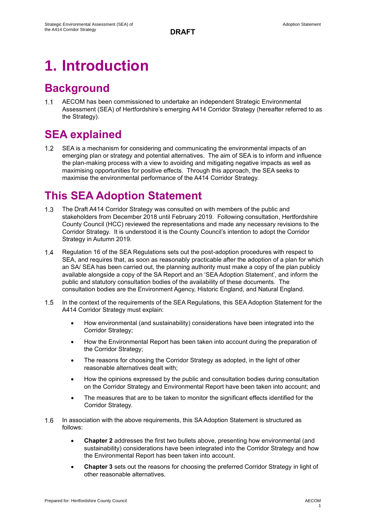# **1. Introduction**

## **Background**

 $1.1$ AECOM has been commissioned to undertake an independent Strategic Environmental Assessment (SEA) of Hertfordshire's emerging A414 Corridor Strategy (hereafter referred to as the Strategy).

## **SEA explained**

 $1.2$ SEA is a mechanism for considering and communicating the environmental impacts of an emerging plan or strategy and potential alternatives. The aim of SEA is to inform and influence the plan-making process with a view to avoiding and mitigating negative impacts as well as maximising opportunities for positive effects. Through this approach, the SEA seeks to maximise the environmental performance of the A414 Corridor Strategy.

## **This SEA Adoption Statement**

- $1.3$ The Draft A414 Corridor Strategy was consulted on with members of the public and stakeholders from December 2018 until February 2019. Following consultation, Hertfordshire County Council (HCC) reviewed the representations and made any necessary revisions to the Corridor Strategy. It is understood it is the County Council's intention to adopt the Corridor Strategy in Autumn 2019.
- $1.4$ Regulation 16 of the SEA Regulations sets out the post-adoption procedures with respect to SEA, and requires that, as soon as reasonably practicable after the adoption of a plan for which an SA/ SEA has been carried out, the planning authority must make a copy of the plan publicly available alongside a copy of the SA Report and an 'SEA Adoption Statement', and inform the public and statutory consultation bodies of the availability of these documents. The consultation bodies are the Environment Agency, Historic England, and Natural England.
- $1.5$ In the context of the requirements of the SEA Regulations, this SEA Adoption Statement for the A414 Corridor Strategy must explain:
	- How environmental (and sustainability) considerations have been integrated into the Corridor Strategy;
	- How the Environmental Report has been taken into account during the preparation of the Corridor Strategy;
	- The reasons for choosing the Corridor Strategy as adopted, in the light of other reasonable alternatives dealt with;
	- How the opinions expressed by the public and consultation bodies during consultation on the Corridor Strategy and Environmental Report have been taken into account; and
	- The measures that are to be taken to monitor the significant effects identified for the Corridor Strategy.
- $1.6$ In association with the above requirements, this SA Adoption Statement is structured as follows:
	- **Chapter 2** addresses the first two bullets above, presenting how environmental (and sustainability) considerations have been integrated into the Corridor Strategy and how the Environmental Report has been taken into account.
	- **Chapter 3** sets out the reasons for choosing the preferred Corridor Strategy in light of other reasonable alternatives.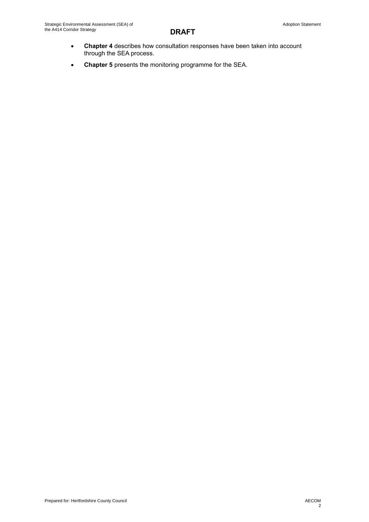- **Chapter 4** describes how consultation responses have been taken into account through the SEA process.
- **Chapter 5** presents the monitoring programme for the SEA.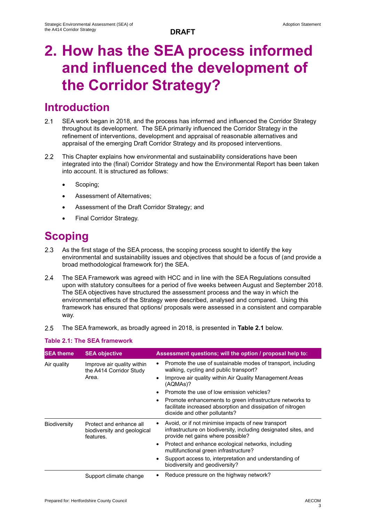# **2. How has the SEA process informed and influenced the development of the Corridor Strategy?**

## **Introduction**

- $2.1$ SEA work began in 2018, and the process has informed and influenced the Corridor Strategy throughout its development. The SEA primarily influenced the Corridor Strategy in the refinement of interventions, development and appraisal of reasonable alternatives and appraisal of the emerging Draft Corridor Strategy and its proposed interventions.
- $2.2$ This Chapter explains how environmental and sustainability considerations have been integrated into the (final) Corridor Strategy and how the Environmental Report has been taken into account. It is structured as follows:
	- Scoping;
	- Assessment of Alternatives;
	- Assessment of the Draft Corridor Strategy; and
	- Final Corridor Strategy.

## **Scoping**

- $2.3$ As the first stage of the SEA process, the scoping process sought to identify the key environmental and sustainability issues and objectives that should be a focus of (and provide a broad methodological framework for) the SEA.
- $2.4$ The SEA Framework was agreed with HCC and in line with the SEA Regulations consulted upon with statutory consultees for a period of five weeks between August and September 2018. The SEA objectives have structured the assessment process and the way in which the environmental effects of the Strategy were described, analysed and compared. Using this framework has ensured that options/ proposals were assessed in a consistent and comparable way.
- $2.5$ The SEA framework, as broadly agreed in 2018, is presented in **Table 2.1** below.

## **Table 2.1: The SEA framework**

| <b>SEA theme</b>    | <b>SEA objective</b>                                                | Assessment questions; will the option / proposal help to:                                                                                                               |
|---------------------|---------------------------------------------------------------------|-------------------------------------------------------------------------------------------------------------------------------------------------------------------------|
| Air quality         | Improve air quality within<br>the A414 Corridor Study<br>Area.      | Promote the use of sustainable modes of transport, including<br>$\bullet$<br>walking, cycling and public transport?                                                     |
|                     |                                                                     | Improve air quality within Air Quality Management Areas<br>$\bullet$<br>(AQMAs)?                                                                                        |
|                     |                                                                     | Promote the use of low emission vehicles?<br>$\bullet$                                                                                                                  |
|                     |                                                                     | Promote enhancements to green infrastructure networks to<br>facilitate increased absorption and dissipation of nitrogen<br>dioxide and other pollutants?                |
| <b>Biodiversity</b> | Protect and enhance all<br>biodiversity and geological<br>features. | Avoid, or if not minimise impacts of new transport<br>$\bullet$<br>infrastructure on biodiversity, including designated sites, and<br>provide net gains where possible? |
|                     |                                                                     | Protect and enhance ecological networks, including<br>$\bullet$<br>multifunctional green infrastructure?                                                                |
|                     |                                                                     | Support access to, interpretation and understanding of<br>$\bullet$<br>biodiversity and geodiversity?                                                                   |
|                     | Support climate change                                              | Reduce pressure on the highway network?                                                                                                                                 |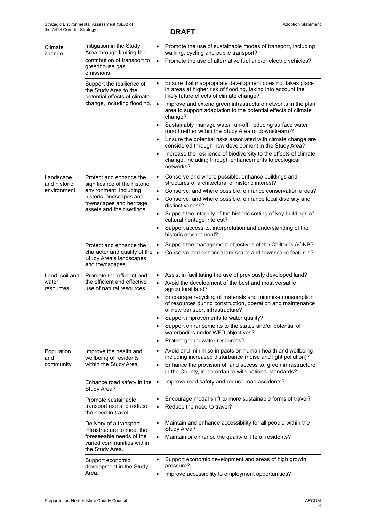| Climate<br>change                        | mitigation in the Study<br>Area through limiting the<br>contribution of transport to<br>greenhouse gas<br>emissions.                    | $\bullet$              | Promote the use of sustainable modes of transport, including<br>walking, cycling and public transport?<br>Promote the use of alternative fuel and/or electric vehicles? |  |
|------------------------------------------|-----------------------------------------------------------------------------------------------------------------------------------------|------------------------|-------------------------------------------------------------------------------------------------------------------------------------------------------------------------|--|
|                                          | Support the resilience of<br>the Study Area to the<br>potential effects of climate<br>change, including flooding.                       | $\bullet$              | Ensure that inappropriate development does not takes place<br>in areas at higher risk of flooding, taking into account the<br>likely future effects of climate change?  |  |
|                                          |                                                                                                                                         | $\bullet$              | Improve and extend green infrastructure networks in the plan<br>area to support adaptation to the potential effects of climate<br>change?                               |  |
|                                          |                                                                                                                                         | ٠                      | Sustainably manage water run-off, reducing surface water<br>runoff (either within the Study Area or downstream)?                                                        |  |
|                                          |                                                                                                                                         | $\bullet$              | Ensure the potential risks associated with climate change are<br>considered through new development in the Study Area?                                                  |  |
|                                          |                                                                                                                                         | $\bullet$              | Increase the resilience of biodiversity to the effects of climate<br>change, including through enhancements to ecological<br>networks?                                  |  |
| Landscape<br>and historic<br>environment | Protect and enhance the<br>significance of the historic<br>environment, including<br>historic landscapes and<br>townscapes and heritage | $\bullet$              | Conserve and where possible, enhance buildings and<br>structures of architectural or historic interest?                                                                 |  |
|                                          |                                                                                                                                         | $\bullet$<br>$\bullet$ | Conserve, and where possible, enhance conservation areas?<br>Conserve, and where possible, enhance local diversity and<br>distinctiveness?                              |  |
|                                          | assets and their settings.                                                                                                              | $\bullet$              | Support the integrity of the historic setting of key buildings of<br>cultural heritage interest?                                                                        |  |
|                                          |                                                                                                                                         | $\bullet$              | Support access to, interpretation and understanding of the<br>historic environment?                                                                                     |  |
|                                          | Protect and enhance the<br>character and quality of the •<br>Study Area's landscapes<br>and townscapes.                                 | $\bullet$              | Support the management objectives of the Chilterns AONB?<br>Conserve and enhance landscape and townscape features?                                                      |  |
| Land, soil and                           | Promote the efficient and<br>the efficient and effective<br>use of natural resources.                                                   | ٠                      | Assist in facilitating the use of previously developed land?                                                                                                            |  |
| water<br>resources                       |                                                                                                                                         | $\bullet$              | Avoid the development of the best and most versatile<br>agricultural land?                                                                                              |  |
|                                          |                                                                                                                                         | $\bullet$              | Encourage recycling of materials and minimise consumption<br>of resources during construction, operation and maintenance<br>of new transport infrastructure?            |  |
|                                          |                                                                                                                                         |                        | Support improvements to water quality?                                                                                                                                  |  |
|                                          |                                                                                                                                         | $\bullet$              | Support enhancements to the status and/or potential of<br>waterbodies under WFD objectives?                                                                             |  |
|                                          |                                                                                                                                         | ٠                      | Protect groundwater resources?                                                                                                                                          |  |
| Population<br>and                        | Improve the health and<br>wellbeing of residents<br>within the Study Area.                                                              | ٠                      | Avoid and minimise impacts on human health and wellbeing<br>including increased disturbance (noise and light pollution)?                                                |  |
| community                                |                                                                                                                                         | $\bullet$              | Enhance the provision of, and access to, green infrastructure<br>in the County, in accordance with national standards?                                                  |  |
|                                          | Enhance road safety in the<br>Study Area?                                                                                               | $\bullet$              | Improve road safety and reduce road accidents?                                                                                                                          |  |
|                                          | Promote sustainable                                                                                                                     | $\bullet$              | Encourage modal shift to more sustainable forms of travel?                                                                                                              |  |
|                                          | transport use and reduce<br>the need to travel.                                                                                         | $\bullet$              | Reduce the need to travel?                                                                                                                                              |  |
|                                          | Delivery of a transport<br>infrastructure to meet the<br>foreseeable needs of the<br>varied communities within<br>the Study Area.       | $\bullet$              | Maintain and enhance accessibility for all people within the<br>Study Area?                                                                                             |  |
|                                          |                                                                                                                                         | $\bullet$              | Maintain or enhance the quality of life of residents?                                                                                                                   |  |
|                                          | Support economic<br>development in the Study                                                                                            | $\bullet$              | Support economic development and areas of high growth<br>pressure?                                                                                                      |  |
|                                          | Area.                                                                                                                                   | ٠                      | Improve accessibility to employment opportunities?                                                                                                                      |  |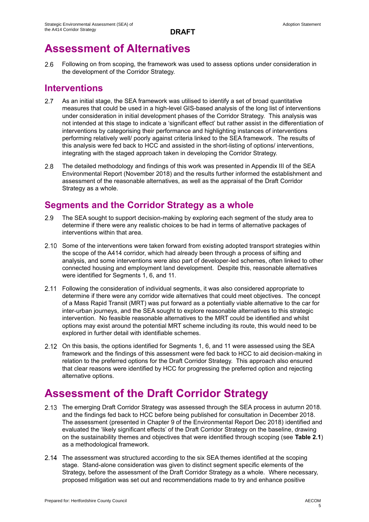## **Assessment of Alternatives**

 $2.6$ Following on from scoping, the framework was used to assess options under consideration in the development of the Corridor Strategy.

## **Interventions**

- $2.7$ As an initial stage, the SEA framework was utilised to identify a set of broad quantitative measures that could be used in a high-level GIS-based analysis of the long list of interventions under consideration in initial development phases of the Corridor Strategy. This analysis was not intended at this stage to indicate a 'significant effect' but rather assist in the differentiation of interventions by categorising their performance and highlighting instances of interventions performing relatively well/ poorly against criteria linked to the SEA framework. The results of this analysis were fed back to HCC and assisted in the short-listing of options/ interventions, integrating with the staged approach taken in developing the Corridor Strategy.
- $2.8$ The detailed methodology and findings of this work was presented in Appendix III of the SEA Environmental Report (November 2018) and the results further informed the establishment and assessment of the reasonable alternatives, as well as the appraisal of the Draft Corridor Strategy as a whole.

## **Segments and the Corridor Strategy as a whole**

- 2.9 The SEA sought to support decision-making by exploring each segment of the study area to determine if there were any realistic choices to be had in terms of alternative packages of interventions within that area.
- 2.10 Some of the interventions were taken forward from existing adopted transport strategies within the scope of the A414 corridor, which had already been through a process of sifting and analysis, and some interventions were also part of developer-led schemes, often linked to other connected housing and employment land development. Despite this, reasonable alternatives were identified for Segments 1, 6, and 11.
- Following the consideration of individual segments, it was also considered appropriate to determine if there were any corridor wide alternatives that could meet objectives. The concept of a Mass Rapid Transit (MRT) was put forward as a potentially viable alternative to the car for inter-urban journeys, and the SEA sought to explore reasonable alternatives to this strategic intervention. No feasible reasonable alternatives to the MRT could be identified and whilst options may exist around the potential MRT scheme including its route, this would need to be explored in further detail with identifiable schemes.
- On this basis, the options identified for Segments 1, 6, and 11 were assessed using the SEA framework and the findings of this assessment were fed back to HCC to aid decision-making in relation to the preferred options for the Draft Corridor Strategy. This approach also ensured that clear reasons were identified by HCC for progressing the preferred option and rejecting alternative options.

## **Assessment of the Draft Corridor Strategy**

- 2.13 The emerging Draft Corridor Strategy was assessed through the SEA process in autumn 2018. and the findings fed back to HCC before being published for consultation in December 2018. The assessment (presented in Chapter 9 of the Environmental Report Dec 2018) identified and evaluated the 'likely significant effects' of the Draft Corridor Strategy on the baseline, drawing on the sustainability themes and objectives that were identified through scoping (see **Table 2.1**) as a methodological framework.
- 2.14 The assessment was structured according to the six SEA themes identified at the scoping stage. Stand-alone consideration was given to distinct segment specific elements of the Strategy, before the assessment of the Draft Corridor Strategy as a whole. Where necessary, proposed mitigation was set out and recommendations made to try and enhance positive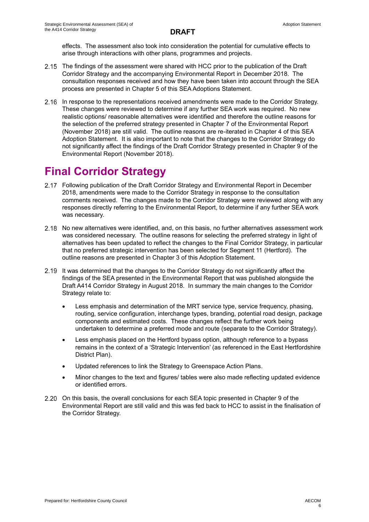effects. The assessment also took into consideration the potential for cumulative effects to arise through interactions with other plans, programmes and projects.

- 2.15 The findings of the assessment were shared with HCC prior to the publication of the Draft Corridor Strategy and the accompanying Environmental Report in December 2018. The consultation responses received and how they have been taken into account through the SEA process are presented in Chapter 5 of this SEA Adoptions Statement.
- 2.16 In response to the representations received amendments were made to the Corridor Strategy. These changes were reviewed to determine if any further SEA work was required. No new realistic options/ reasonable alternatives were identified and therefore the outline reasons for the selection of the preferred strategy presented in Chapter 7 of the Environmental Report (November 2018) are still valid. The outline reasons are re-iterated in Chapter 4 of this SEA Adoption Statement. It is also important to note that the changes to the Corridor Strategy do not significantly affect the findings of the Draft Corridor Strategy presented in Chapter 9 of the Environmental Report (November 2018).

## **Final Corridor Strategy**

- Following publication of the Draft Corridor Strategy and Environmental Report in December 2018, amendments were made to the Corridor Strategy in response to the consultation comments received. The changes made to the Corridor Strategy were reviewed along with any responses directly referring to the Environmental Report, to determine if any further SEA work was necessary.
- 2.18 No new alternatives were identified, and, on this basis, no further alternatives assessment work was considered necessary. The outline reasons for selecting the preferred strategy in light of alternatives has been updated to reflect the changes to the Final Corridor Strategy, in particular that no preferred strategic intervention has been selected for Segment 11 (Hertford). The outline reasons are presented in Chapter 3 of this Adoption Statement.
- 2.19 It was determined that the changes to the Corridor Strategy do not significantly affect the findings of the SEA presented in the Environmental Report that was published alongside the Draft A414 Corridor Strategy in August 2018. In summary the main changes to the Corridor Strategy relate to:
	- Less emphasis and determination of the MRT service type, service frequency, phasing, routing, service configuration, interchange types, branding, potential road design, package components and estimated costs. These changes reflect the further work being undertaken to determine a preferred mode and route (separate to the Corridor Strategy).
	- Less emphasis placed on the Hertford bypass option, although reference to a bypass remains in the context of a 'Strategic Intervention' (as referenced in the East Hertfordshire District Plan).
	- Updated references to link the Strategy to Greenspace Action Plans.
	- Minor changes to the text and figures/ tables were also made reflecting updated evidence or identified errors.
- 2.20 On this basis, the overall conclusions for each SEA topic presented in Chapter 9 of the Environmental Report are still valid and this was fed back to HCC to assist in the finalisation of the Corridor Strategy.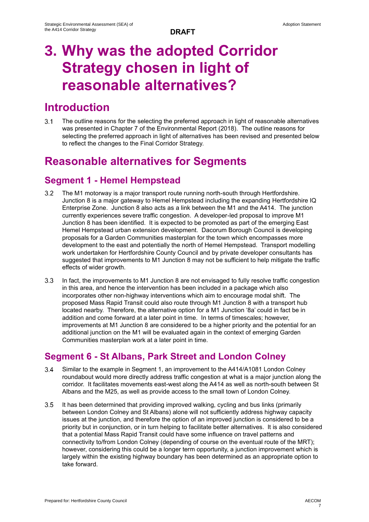# **3. Why was the adopted Corridor Strategy chosen in light of reasonable alternatives?**

## **Introduction**

 $3.1$ The outline reasons for the selecting the preferred approach in light of reasonable alternatives was presented in Chapter 7 of the Environmental Report (2018). The outline reasons for selecting the preferred approach in light of alternatives has been revised and presented below to reflect the changes to the Final Corridor Strategy.

## **Reasonable alternatives for Segments**

## **Segment 1 - Hemel Hempstead**

- $3.2$ The M1 motorway is a major transport route running north-south through Hertfordshire. Junction 8 is a major gateway to Hemel Hempstead including the expanding Hertfordshire IQ Enterprise Zone. Junction 8 also acts as a link between the M1 and the A414. The junction currently experiences severe traffic congestion. A developer-led proposal to improve M1 Junction 8 has been identified. It is expected to be promoted as part of the emerging East Hemel Hempstead urban extension development. Dacorum Borough Council is developing proposals for a Garden Communities masterplan for the town which encompasses more development to the east and potentially the north of Hemel Hempstead. Transport modelling work undertaken for Hertfordshire County Council and by private developer consultants has suggested that improvements to M1 Junction 8 may not be sufficient to help mitigate the traffic effects of wider growth.
- $3.3<sub>l</sub>$ In fact, the improvements to M1 Junction 8 are not envisaged to fully resolve traffic congestion in this area, and hence the intervention has been included in a package which also incorporates other non-highway interventions which aim to encourage modal shift. The proposed Mass Rapid Transit could also route through M1 Junction 8 with a transport hub located nearby. Therefore, the alternative option for a M1 Junction '8a' could in fact be in addition and come forward at a later point in time. In terms of timescales; however, improvements at M1 Junction 8 are considered to be a higher priority and the potential for an additional junction on the M1 will be evaluated again in the context of emerging Garden Communities masterplan work at a later point in time.

## **Segment 6 - St Albans, Park Street and London Colney**

- Similar to the example in Segment 1, an improvement to the A414/A1081 London Colney  $3.4$ roundabout would more directly address traffic congestion at what is a major junction along the corridor. It facilitates movements east-west along the A414 as well as north-south between St Albans and the M25, as well as provide access to the small town of London Colney.
- $3.5$ It has been determined that providing improved walking, cycling and bus links (primarily between London Colney and St Albans) alone will not sufficiently address highway capacity issues at the junction, and therefore the option of an improved junction is considered to be a priority but in conjunction, or in turn helping to facilitate better alternatives. It is also considered that a potential Mass Rapid Transit could have some influence on travel patterns and connectivity to/from London Colney (depending of course on the eventual route of the MRT); however, considering this could be a longer term opportunity, a junction improvement which is largely within the existing highway boundary has been determined as an appropriate option to take forward.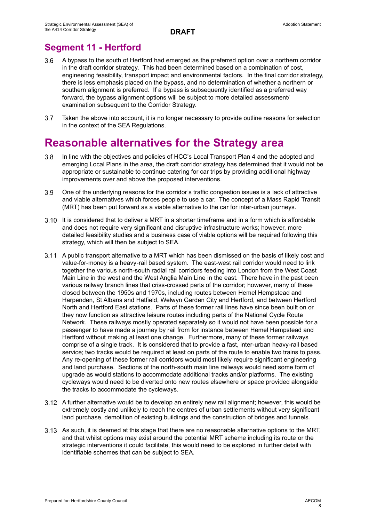## **Segment 11 - Hertford**

- $3.6$ A bypass to the south of Hertford had emerged as the preferred option over a northern corridor in the draft corridor strategy. This had been determined based on a combination of cost, engineering feasibility, transport impact and environmental factors. In the final corridor strategy, there is less emphasis placed on the bypass, and no determination of whether a northern or southern alignment is preferred. If a bypass is subsequently identified as a preferred way forward, the bypass alignment options will be subject to more detailed assessment/ examination subsequent to the Corridor Strategy.
- $3.7$ Taken the above into account, it is no longer necessary to provide outline reasons for selection in the context of the SEA Regulations.

## **Reasonable alternatives for the Strategy area**

- In line with the objectives and policies of HCC's Local Transport Plan 4 and the adopted and  $3.8$ emerging Local Plans in the area, the draft corridor strategy has determined that it would not be appropriate or sustainable to continue catering for car trips by providing additional highway improvements over and above the proposed interventions.
- $3.9<sup>°</sup>$ One of the underlying reasons for the corridor's traffic congestion issues is a lack of attractive and viable alternatives which forces people to use a car. The concept of a Mass Rapid Transit (MRT) has been put forward as a viable alternative to the car for inter-urban journeys.
- 3.10 It is considered that to deliver a MRT in a shorter timeframe and in a form which is affordable and does not require very significant and disruptive infrastructure works; however, more detailed feasibility studies and a business case of viable options will be required following this strategy, which will then be subject to SEA.
- A public transport alternative to a MRT which has been dismissed on the basis of likely cost and value-for-money is a heavy-rail based system. The east-west rail corridor would need to link together the various north-south radial rail corridors feeding into London from the West Coast Main Line in the west and the West Anglia Main Line in the east. There have in the past been various railway branch lines that criss-crossed parts of the corridor; however, many of these closed between the 1950s and 1970s, including routes between Hemel Hempstead and Harpenden, St Albans and Hatfield, Welwyn Garden City and Hertford, and between Hertford North and Hertford East stations. Parts of these former rail lines have since been built on or they now function as attractive leisure routes including parts of the National Cycle Route Network. These railways mostly operated separately so it would not have been possible for a passenger to have made a journey by rail from for instance between Hemel Hempstead and Hertford without making at least one change. Furthermore, many of these former railways comprise of a single track. It is considered that to provide a fast, inter-urban heavy-rail based service; two tracks would be required at least on parts of the route to enable two trains to pass. Any re-opening of these former rail corridors would most likely require significant engineering and land purchase. Sections of the north-south main line railways would need some form of upgrade as would stations to accommodate additional tracks and/or platforms. The existing cycleways would need to be diverted onto new routes elsewhere or space provided alongside the tracks to accommodate the cycleways.
- A further alternative would be to develop an entirely new rail alignment; however, this would be extremely costly and unlikely to reach the centres of urban settlements without very significant land purchase, demolition of existing buildings and the construction of bridges and tunnels.
- As such, it is deemed at this stage that there are no reasonable alternative options to the MRT, and that whilst options may exist around the potential MRT scheme including its route or the strategic interventions it could facilitate, this would need to be explored in further detail with identifiable schemes that can be subject to SEA.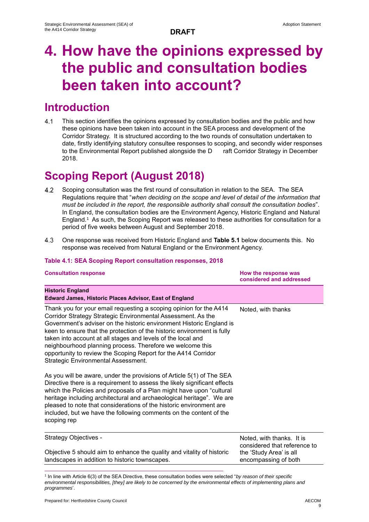# **4. How have the opinions expressed by the public and consultation bodies been taken into account?**

## **Introduction**

 $4.1$ This section identifies the opinions expressed by consultation bodies and the public and how these opinions have been taken into account in the SEA process and development of the Corridor Strategy. It is structured according to the two rounds of consultation undertaken to date, firstly identifying statutory consultee responses to scoping, and secondly wider responses to the Environmental Report published alongside the D raft Corridor Strategy in December 2018.

# **Scoping Report (August 2018)**

- $4.2$ Scoping consultation was the first round of consultation in relation to the SEA. The SEA Regulations require that "*when deciding on the scope and level of detail of the information that must be included in the report, the responsible authority shall consult the consultation bodies*". In England, the consultation bodies are the Environment Agency, Historic England and Natural England.<sup>1</sup> As such, the Scoping Report was released to these authorities for consultation for a period of five weeks between August and September 2018.
- $4.3$ One response was received from Historic England and **Table 5.1** below documents this. No response was received from Natural England or the Environment Agency.

## **Table 4.1: SEA Scoping Report consultation responses, 2018**

| Noted, with thanks                                                                   |
|--------------------------------------------------------------------------------------|
|                                                                                      |
| Noted, with thanks. It is<br>considered that reference to<br>the 'Study Area' is all |
|                                                                                      |

1 In line with Article 6(3) of the SEA Directive, these consultation bodies were selected "*by reason of their specific environmental responsibilities, [they] are likely to be concerned by the environmental effects of implementing plans and programmes*'.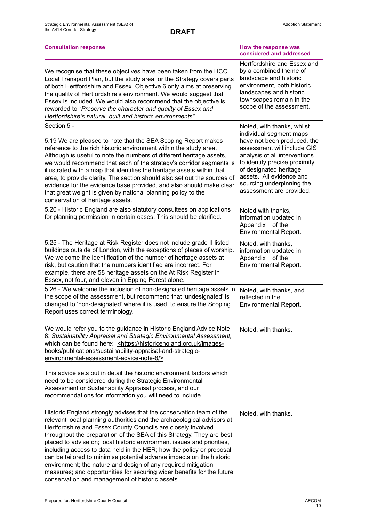| <b>Consultation response</b>                                                                                                                                                                                                                                                                                                                                                                                                                                                                                                                                                                                                                                                                                    | How the response was<br>considered and addressed                                                                                                                                                                                                                                                     |
|-----------------------------------------------------------------------------------------------------------------------------------------------------------------------------------------------------------------------------------------------------------------------------------------------------------------------------------------------------------------------------------------------------------------------------------------------------------------------------------------------------------------------------------------------------------------------------------------------------------------------------------------------------------------------------------------------------------------|------------------------------------------------------------------------------------------------------------------------------------------------------------------------------------------------------------------------------------------------------------------------------------------------------|
| We recognise that these objectives have been taken from the HCC<br>Local Transport Plan, but the study area for the Strategy covers parts<br>of both Hertfordshire and Essex. Objective 6 only aims at preserving<br>the quality of Hertfordshire's environment. We would suggest that<br>Essex is included. We would also recommend that the objective is<br>reworded to "Preserve the character and quality of Essex and<br>Hertfordshire's natural, built and historic environments".                                                                                                                                                                                                                        | Hertfordshire and Essex and<br>by a combined theme of<br>landscape and historic<br>environment, both historic<br>landscapes and historic<br>townscapes remain in the<br>scope of the assessment.                                                                                                     |
| Section 5 -<br>5.19 We are pleased to note that the SEA Scoping Report makes<br>reference to the rich historic environment within the study area.<br>Although is useful to note the numbers of different heritage assets,<br>we would recommend that each of the strategy's corridor segments is<br>illustrated with a map that identifies the heritage assets within that<br>area, to provide clarity. The section should also set out the sources of<br>evidence for the evidence base provided, and also should make clear<br>that great weight is given by national planning policy to the<br>conservation of heritage assets.                                                                              | Noted, with thanks, whilst<br>individual segment maps<br>have not been produced, the<br>assessment will include GIS<br>analysis of all interventions<br>to identify precise proximity<br>of designated heritage<br>assets. All evidence and<br>sourcing underpinning the<br>assessment are provided. |
| 5.20 - Historic England are also statutory consultees on applications<br>for planning permission in certain cases. This should be clarified.                                                                                                                                                                                                                                                                                                                                                                                                                                                                                                                                                                    | Noted with thanks,<br>information updated in<br>Appendix II of the<br><b>Environmental Report.</b>                                                                                                                                                                                                   |
| 5.25 - The Heritage at Risk Register does not include grade II listed<br>buildings outside of London, with the exceptions of places of worship.<br>We welcome the identification of the number of heritage assets at<br>risk, but caution that the numbers identified are incorrect. For<br>example, there are 58 heritage assets on the At Risk Register in<br>Essex, not four, and eleven in Epping Forest alone.                                                                                                                                                                                                                                                                                             | Noted, with thanks,<br>information updated in<br>Appendix II of the<br><b>Environmental Report.</b>                                                                                                                                                                                                  |
| 5.26 - We welcome the inclusion of non-designated heritage assets in<br>the scope of the assessment, but recommend that 'undesignated' is<br>changed to 'non-designated' where it is used, to ensure the Scoping<br>Report uses correct terminology.                                                                                                                                                                                                                                                                                                                                                                                                                                                            | Noted, with thanks, and<br>reflected in the<br><b>Environmental Report.</b>                                                                                                                                                                                                                          |
| We would refer you to the guidance in Historic England Advice Note<br>8: Sustainability Appraisal and Strategic Environmental Assessment,<br>which can be found here: < https://historicengland.org.uk/images-<br>books/publications/sustainability-appraisal-and-strategic-<br>environmental-assessment-advice-note-8/>                                                                                                                                                                                                                                                                                                                                                                                        | Noted, with thanks.                                                                                                                                                                                                                                                                                  |
| This advice sets out in detail the historic environment factors which<br>need to be considered during the Strategic Environmental<br>Assessment or Sustainability Appraisal process, and our<br>recommendations for information you will need to include.                                                                                                                                                                                                                                                                                                                                                                                                                                                       |                                                                                                                                                                                                                                                                                                      |
| Historic England strongly advises that the conservation team of the<br>relevant local planning authorities and the archaeological advisors at<br>Hertfordshire and Essex County Councils are closely involved<br>throughout the preparation of the SEA of this Strategy. They are best<br>placed to advise on; local historic environment issues and priorities,<br>including access to data held in the HER; how the policy or proposal<br>can be tailored to minimise potential adverse impacts on the historic<br>environment; the nature and design of any required mitigation<br>measures; and opportunities for securing wider benefits for the future<br>conservation and management of historic assets. | Noted, with thanks.                                                                                                                                                                                                                                                                                  |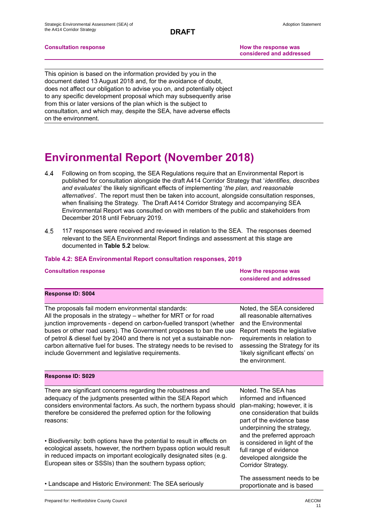**Consultation response How the response was** 

**considered and addressed**

This opinion is based on the information provided by you in the document dated 13 August 2018 and, for the avoidance of doubt, does not affect our obligation to advise you on, and potentially object to any specific development proposal which may subsequently arise from this or later versions of the plan which is the subject to consultation, and which may, despite the SEA, have adverse effects on the environment.

## **Environmental Report (November 2018)**

- Following on from scoping, the SEA Regulations require that an Environmental Report is 4.4 published for consultation alongside the draft A414 Corridor Strategy that '*identifies, describes and evaluates*' the likely significant effects of implementing '*the plan, and reasonable alternatives*'. The report must then be taken into account, alongside consultation responses, when finalising the Strategy. The Draft A414 Corridor Strategy and accompanying SEA Environmental Report was consulted on with members of the public and stakeholders from December 2018 until February 2019.
- 4.5 117 responses were received and reviewed in relation to the SEA. The responses deemed relevant to the SEA Environmental Report findings and assessment at this stage are documented in **Table 5.2** below.

## **Table 4.2: SEA Environmental Report consultation responses, 2019**

| <b>Consultation response</b> | How the response was<br>considered and addressed |
|------------------------------|--------------------------------------------------|
| <b>Response ID: S004</b>     |                                                  |

The proposals fail modern environmental standards: All the proposals in the strategy – whether for MRT or for road junction improvements - depend on carbon-fuelled transport (whether buses or other road users). The Government proposes to ban the use of petrol & diesel fuel by 2040 and there is not yet a sustainable noncarbon alternative fuel for buses. The strategy needs to be revised to include Government and legislative requirements.

Noted, the SEA considered all reasonable alternatives and the Environmental Report meets the legislative requirements in relation to assessing the Strategy for its 'likely significant effects' on the environment.

### **Response ID: S029**

There are significant concerns regarding the robustness and adequacy of the judgments presented within the SEA Report which considers environmental factors. As such, the northern bypass should therefore be considered the preferred option for the following reasons:

• Biodiversity: both options have the potential to result in effects on ecological assets, however, the northern bypass option would result in reduced impacts on important ecologically designated sites (e.g. European sites or SSSIs) than the southern bypass option;

• Landscape and Historic Environment: The SEA seriously

Noted. The SEA has informed and influenced plan-making; however, it is one consideration that builds part of the evidence base underpinning the strategy, and the preferred approach is considered in light of the full range of evidence developed alongside the Corridor Strategy.

The assessment needs to be proportionate and is based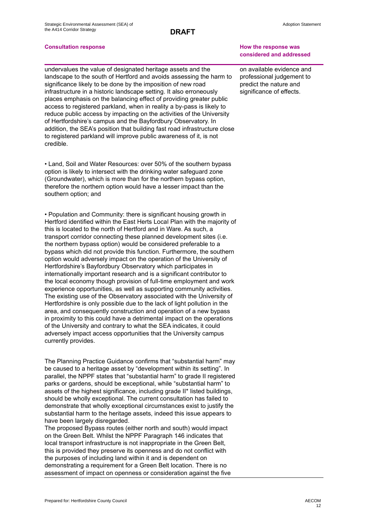undervalues the value of designated heritage assets and the landscape to the south of Hertford and avoids assessing the harm to significance likely to be done by the imposition of new road infrastructure in a historic landscape setting. It also erroneously places emphasis on the balancing effect of providing greater public access to registered parkland, when in reality a by-pass is likely to reduce public access by impacting on the activities of the University of Hertfordshire's campus and the Bayfordbury Observatory. In addition, the SEA's position that building fast road infrastructure close to registered parkland will improve public awareness of it, is not credible.

• Land, Soil and Water Resources: over 50% of the southern bypass option is likely to intersect with the drinking water safeguard zone (Groundwater), which is more than for the northern bypass option, therefore the northern option would have a lesser impact than the southern option; and

• Population and Community: there is significant housing growth in Hertford identified within the East Herts Local Plan with the majority of this is located to the north of Hertford and in Ware. As such, a transport corridor connecting these planned development sites (i.e. the northern bypass option) would be considered preferable to a bypass which did not provide this function. Furthermore, the southern option would adversely impact on the operation of the University of Hertfordshire's Bayfordbury Observatory which participates in internationally important research and is a significant contributor to the local economy though provision of full-time employment and work experience opportunities, as well as supporting community activities. The existing use of the Observatory associated with the University of Hertfordshire is only possible due to the lack of light pollution in the area, and consequently construction and operation of a new bypass in proximity to this could have a detrimental impact on the operations of the University and contrary to what the SEA indicates, it could adversely impact access opportunities that the University campus currently provides.

The Planning Practice Guidance confirms that "substantial harm" may be caused to a heritage asset by "development within its setting". In parallel, the NPPF states that "substantial harm" to grade II registered parks or gardens, should be exceptional, while "substantial harm" to assets of the highest significance, including grade II\* listed buildings, should be wholly exceptional. The current consultation has failed to demonstrate that wholly exceptional circumstances exist to justify the substantial harm to the heritage assets, indeed this issue appears to have been largely disregarded.

The proposed Bypass routes (either north and south) would impact on the Green Belt. Whilst the NPPF Paragraph 146 indicates that local transport infrastructure is not inappropriate in the Green Belt, this is provided they preserve its openness and do not conflict with the purposes of including land within it and is dependent on demonstrating a requirement for a Green Belt location. There is no assessment of impact on openness or consideration against the five

### **Consultation response How the response was considered and addressed**

on available evidence and professional judgement to predict the nature and significance of effects.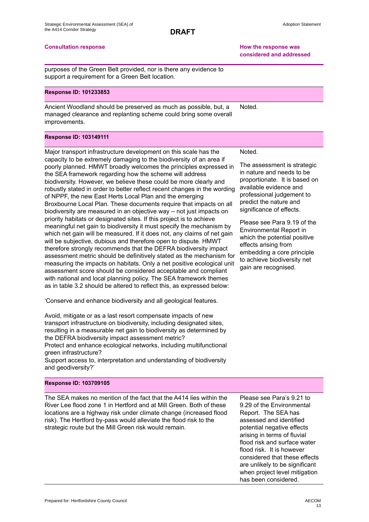**Consultation response How the response was considered and addressed**

purposes of the Green Belt provided, nor is there any evidence to support a requirement for a Green Belt location.

### **Response ID: 101233853**

Ancient Woodland should be preserved as much as possible, but, a managed clearance and replanting scheme could bring some overall improvements. Noted.

### **Response ID: 103149111**

Major transport infrastructure development on this scale has the capacity to be extremely damaging to the biodiversity of an area if poorly planned. HMWT broadly welcomes the principles expressed in the SEA framework regarding how the scheme will address biodiversity. However, we believe these could be more clearly and robustly stated in order to better reflect recent changes in the wording of NPPF, the new East Herts Local Plan and the emerging Broxbourne Local Plan. These documents require that impacts on all biodiversity are measured in an objective way – not just impacts on priority habitats or designated sites. If this project is to achieve meaningful net gain to biodiversity it must specify the mechanism by which net gain will be measured. If it does not, any claims of net gain will be subjective, dubious and therefore open to dispute. HMWT therefore strongly recommends that the DEFRA biodiversity impact assessment metric should be definitively stated as the mechanism for measuring the impacts on habitats. Only a net positive ecological unit assessment score should be considered acceptable and compliant with national and local planning policy. The SEA framework themes as in table 3.2 should be altered to reflect this, as expressed below:

'Conserve and enhance biodiversity and all geological features.

Avoid, mitigate or as a last resort compensate impacts of new transport infrastructure on biodiversity, including designated sites, resulting in a measurable net gain to biodiversity as determined by the DEFRA biodiversity impact assessment metric? Protect and enhance ecological networks, including multifunctional green infrastructure?

Support access to, interpretation and understanding of biodiversity and geodiversity?'

### **Response ID: 103709105**

The SEA makes no mention of the fact that the A414 lies within the River Lee flood zone 1 in Hertford and at Mill Green. Both of these locations are a highway risk under climate change (increased flood risk). The Hertford by-pass would alleviate the flood risk to the strategic route but the Mill Green risk would remain.

Please see Para's 9.21 to 9.29 of the Environmental Report. The SEA has assessed and identified potential negative effects arising in terms of fluvial flood risk and surface water flood risk. It is however considered that these effects are unlikely to be significant when project level mitigation has been considered.

Noted.

The assessment is strategic in nature and needs to be proportionate. It is based on available evidence and professional judgement to predict the nature and significance of effects.

Please see Para 9.19 of the Environmental Report in which the potential positive effects arising from embedding a core principle to achieve biodiversity net gain are recognised.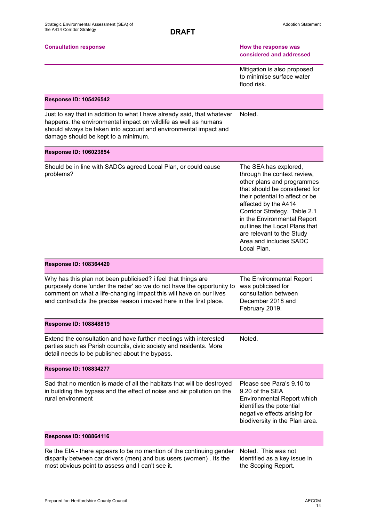### **Consultation response How the response was**

# **considered and addressed**

Mitigation is also proposed to minimise surface water flood risk.

## **Response ID: 105426542**

Just to say that in addition to what I have already said, that whatever happens. the environmental impact on wildlife as well as humans should always be taken into account and environmental impact and damage should be kept to a minimum. Noted.

## **Response ID: 106023854**

Should be in line with SADCs agreed Local Plan, or could cause problems?

The SEA has explored, through the context review, other plans and programmes that should be considered for their potential to affect or be affected by the A414 Corridor Strategy. Table 2.1 in the Environmental Report outlines the Local Plans that are relevant to the Study Area and includes SADC Local Plan.

### **Response ID: 108364420**

Why has this plan not been publicised? i feel that things are purposely done 'under the radar' so we do not have the opportunity to comment on what a life-changing impact this will have on our lives and contradicts the precise reason i moved here in the first place.

The Environmental Report was publicised for consultation between December 2018 and February 2019.

Noted.

### **Response ID: 108848819**

Extend the consultation and have further meetings with interested parties such as Parish councils, civic society and residents. More detail needs to be published about the bypass.

### **Response ID: 108834277**

Sad that no mention is made of all the habitats that will be destroyed in building the bypass and the effect of noise and air pollution on the rural environment

Please see Para's 9.10 to 9.20 of the SEA Environmental Report which identifies the potential negative effects arising for biodiversity in the Plan area.

### **Response ID: 108864116**

Re the EIA - there appears to be no mention of the continuing gender disparity between car drivers (men) and bus users (women) . Its the most obvious point to assess and I can't see it.

Noted. This was not identified as a key issue in the Scoping Report.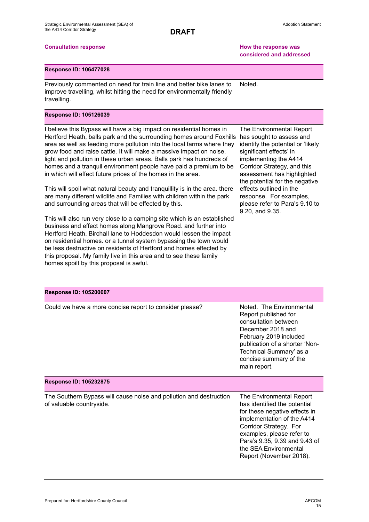## **Consultation response How the response was considered and addressed**

### **Response ID: 106477028**

Previously commented on need for train line and better bike lanes to improve travelling, whilst hitting the need for environmentally friendly travelling. Noted.

### **Response ID: 105126039**

I believe this Bypass will have a big impact on residential homes in Hertford Heath, balls park and the surrounding homes around Foxhills area as well as feeding more pollution into the local farms where they grow food and raise cattle. It will make a massive impact on noise, light and pollution in these urban areas. Balls park has hundreds of homes and a tranquil environment people have paid a premium to be in which will effect future prices of the homes in the area.

This will spoil what natural beauty and tranquillity is in the area. there are many different wildlife and Families with children within the park and surrounding areas that will be effected by this.

This will also run very close to a camping site which is an established business and effect homes along Mangrove Road. and further into Hertford Heath. Birchall lane to Hoddesdon would lessen the impact on residential homes. or a tunnel system bypassing the town would be less destructive on residents of Hertford and homes effected by this proposal. My family live in this area and to see these family homes spoilt by this proposal is awful.

The Environmental Report has sought to assess and identify the potential or 'likely significant effects' in implementing the A414 Corridor Strategy, and this assessment has highlighted the potential for the negative effects outlined in the response. For examples, please refer to Para's 9.10 to 9.20, and 9.35.

### **Response ID: 105200607**

Could we have a more concise report to consider please? Noted. The Environmental

Report published for consultation between December 2018 and February 2019 included publication of a shorter 'Non-Technical Summary' as a concise summary of the main report.

### **Response ID: 105232875**

The Southern Bypass will cause noise and pollution and destruction of valuable countryside.

The Environmental Report has identified the potential for these negative effects in implementation of the A414 Corridor Strategy. For examples, please refer to Para's 9.35, 9.39 and 9.43 of the SEA Environmental Report (November 2018).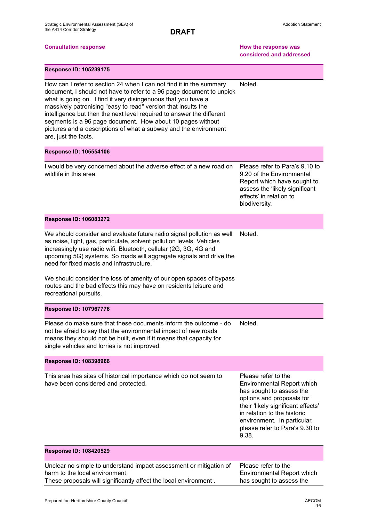## **Consultation response How the response was considered and addressed**

| <b>Response ID: 105239175</b> |  |  |
|-------------------------------|--|--|
|-------------------------------|--|--|

How can I refer to section 24 when I can not find it in the summary document, I should not have to refer to a 96 page document to unpick what is going on. I find it very disingenuous that you have a massively patronising "easy to read" version that insults the intelligence but then the next level required to answer the different segments is a 96 page document. How about 10 pages without pictures and a descriptions of what a subway and the environment are, just the facts. Noted.

### **Response ID: 105554106**

I would be very concerned about the adverse effect of a new road on wildlife in this area.

Please refer to Para's 9.10 to 9.20 of the Environmental Report which have sought to assess the 'likely significant effects' in relation to biodiversity.

### **Response ID: 106083272**

We should consider and evaluate future radio signal pollution as well as noise, light, gas, particulate, solvent pollution levels. Vehicles increasingly use radio wifi, Bluetooth, cellular (2G, 3G, 4G and upcoming 5G) systems. So roads will aggregate signals and drive the need for fixed masts and infrastructure. Noted.

We should consider the loss of amenity of our open spaces of bypass routes and the bad effects this may have on residents leisure and recreational pursuits.

### **Response ID: 107967776**

Please do make sure that these documents inform the outcome - do not be afraid to say that the environmental impact of new roads means they should not be built, even if it means that capacity for single vehicles and lorries is not improved. Noted.

### **Response ID: 108398966** This area has sites of historical importance which do not seem to have been considered and protected. Please refer to the Environmental Report which has sought to assess the options and proposals for their 'likely significant effects' in relation to the historic environment. In particular, please refer to Para's 9.30 to 9.38. **Response ID: 108420529** Unclear no simple to understand impact assessment or mitigation of harm to the local environment These proposals will significantly affect the local environment . Please refer to the Environmental Report which has sought to assess the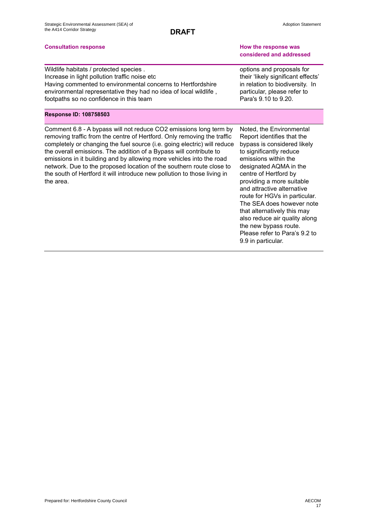### **Consultation response How the response was**

Wildlife habitats / protected species . Increase in light pollution traffic noise etc Having commented to environmental concerns to Hertfordshire environmental representative they had no idea of local wildlife , footpaths so no confidence in this team

### **Response ID: 108758503**

Comment 6.8 - A bypass will not reduce CO2 emissions long term by removing traffic from the centre of Hertford. Only removing the traffic completely or changing the fuel source (i.e. going electric) will reduce the overall emissions. The addition of a Bypass will contribute to emissions in it building and by allowing more vehicles into the road network. Due to the proposed location of the southern route close to the south of Hertford it will introduce new pollution to those living in the area.

Noted, the Environmental Report identifies that the bypass is considered likely to significantly reduce emissions within the designated AQMA in the centre of Hertford by providing a more suitable and attractive alternative route for HGVs in particular. The SEA does however note that alternatively this may also reduce air quality along the new bypass route. Please refer to Para's 9.2 to 9.9 in particular.

**considered and addressed**

Adoption Statement

options and proposals for their 'likely significant effects' in relation to biodiversity. In particular, please refer to Para's 9.10 to 9.20.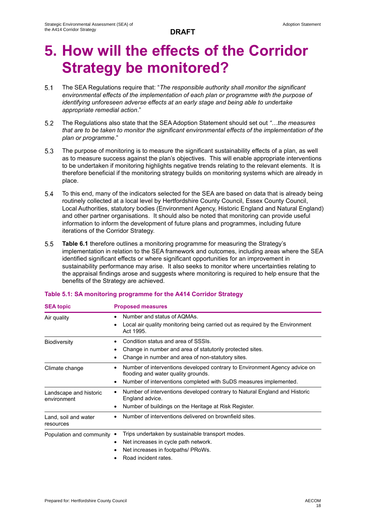# **5. How will the effects of the Corridor Strategy be monitored?**

- $5.1$ The SEA Regulations require that: "*The responsible authority shall monitor the significant environmental effects of the implementation of each plan or programme with the purpose of identifying unforeseen adverse effects at an early stage and being able to undertake appropriate remedial action*."
- $5.2$ The Regulations also state that the SEA Adoption Statement should set out *"…the measures that are to be taken to monitor the significant environmental effects of the implementation of the plan or programme*."
- $5.3$ The purpose of monitoring is to measure the significant sustainability effects of a plan, as well as to measure success against the plan's objectives. This will enable appropriate interventions to be undertaken if monitoring highlights negative trends relating to the relevant elements. It is therefore beneficial if the monitoring strategy builds on monitoring systems which are already in place.
- $5.4$ To this end, many of the indicators selected for the SEA are based on data that is already being routinely collected at a local level by Hertfordshire County Council, Essex County Council, Local Authorities, statutory bodies (Environment Agency, Historic England and Natural England) and other partner organisations. It should also be noted that monitoring can provide useful information to inform the development of future plans and programmes, including future iterations of the Corridor Strategy.
- $5.5$ **Table 6.1** therefore outlines a monitoring programme for measuring the Strategy's implementation in relation to the SEA framework and outcomes, including areas where the SEA identified significant effects or where significant opportunities for an improvement in sustainability performance may arise. It also seeks to monitor where uncertainties relating to the appraisal findings arose and suggests where monitoring is required to help ensure that the benefits of the Strategy are achieved.

| <b>SEA TOPIC</b>                      | Proposed measures                                                                                                              |
|---------------------------------------|--------------------------------------------------------------------------------------------------------------------------------|
| Air quality                           | Number and status of AQMAs.                                                                                                    |
|                                       | Local air quality monitoring being carried out as required by the Environment<br>Act 1995.                                     |
| <b>Biodiversity</b>                   | Condition status and area of SSSIs.                                                                                            |
|                                       | Change in number and area of statutorily protected sites.<br>٠                                                                 |
|                                       | Change in number and area of non-statutory sites.                                                                              |
| Climate change                        | Number of interventions developed contrary to Environment Agency advice on<br>$\bullet$<br>flooding and water quality grounds. |
|                                       | Number of interventions completed with SuDS measures implemented.<br>٠                                                         |
| Landscape and historic<br>environment | Number of interventions developed contrary to Natural England and Historic<br>٠<br>England advice.                             |
|                                       | Number of buildings on the Heritage at Risk Register.<br>٠                                                                     |
| Land, soil and water<br>resources     | Number of interventions delivered on brownfield sites.                                                                         |
| Population and community •            | Trips undertaken by sustainable transport modes.                                                                               |
|                                       | Net increases in cycle path network.<br>٠                                                                                      |
|                                       | Net increases in footpaths/ PRoWs.                                                                                             |
|                                       | Road incident rates.                                                                                                           |

## **Table 5.1: SA monitoring programme for the A414 Corridor Strategy**

**SEA topic Proposed measures**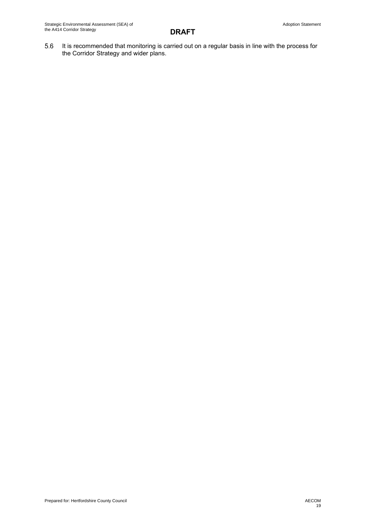It is recommended that monitoring is carried out on a regular basis in line with the process for 5.6 the Corridor Strategy and wider plans.